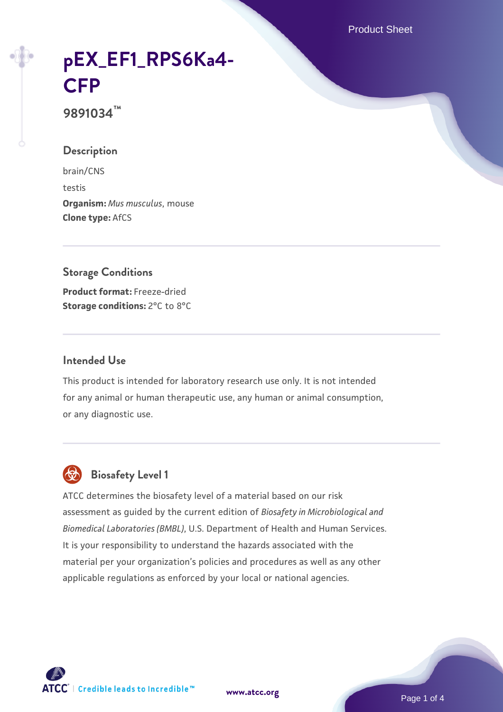Product Sheet

# **[pEX\\_EF1\\_RPS6Ka4-](https://www.atcc.org/products/9891034) [CFP](https://www.atcc.org/products/9891034)**

**9891034™**

## **Description**

brain/CNS testis **Organism:** *Mus musculus*, mouse **Clone type:** AfCS

## **Storage Conditions Product format:** Freeze-dried **Storage conditions:** 2°C to 8°C

#### **Intended Use**

This product is intended for laboratory research use only. It is not intended for any animal or human therapeutic use, any human or animal consumption, or any diagnostic use.



## **Biosafety Level 1**

ATCC determines the biosafety level of a material based on our risk assessment as guided by the current edition of *Biosafety in Microbiological and Biomedical Laboratories (BMBL)*, U.S. Department of Health and Human Services. It is your responsibility to understand the hazards associated with the material per your organization's policies and procedures as well as any other applicable regulations as enforced by your local or national agencies.

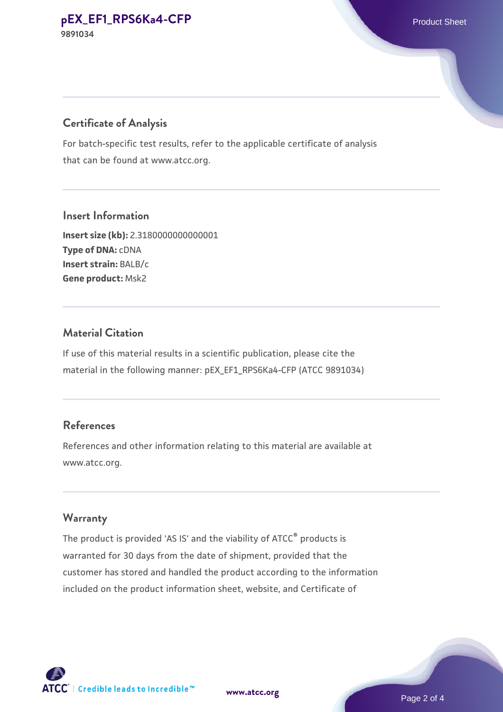## **Certificate of Analysis**

For batch-specific test results, refer to the applicable certificate of analysis that can be found at www.atcc.org.

#### **Insert Information**

**Insert size (kb):** 2.3180000000000001 **Type of DNA:** cDNA **Insert strain:** BALB/c **Gene product:** Msk2

#### **Material Citation**

If use of this material results in a scientific publication, please cite the material in the following manner: pEX\_EF1\_RPS6Ka4-CFP (ATCC 9891034)

## **References**

References and other information relating to this material are available at www.atcc.org.

#### **Warranty**

The product is provided 'AS IS' and the viability of ATCC® products is warranted for 30 days from the date of shipment, provided that the customer has stored and handled the product according to the information included on the product information sheet, website, and Certificate of

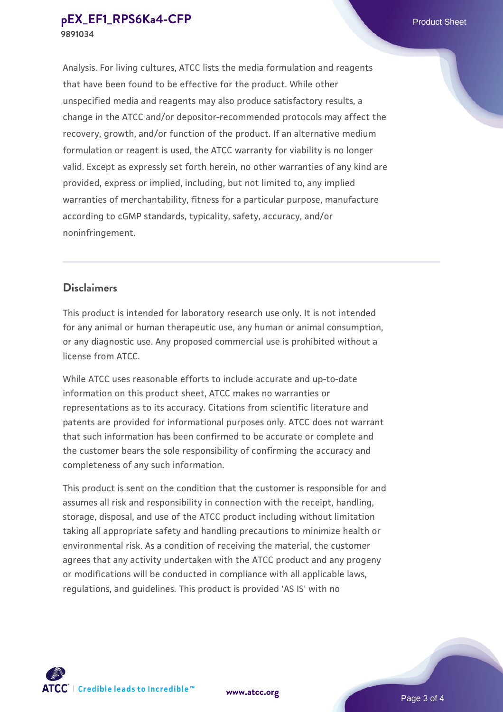Analysis. For living cultures, ATCC lists the media formulation and reagents that have been found to be effective for the product. While other unspecified media and reagents may also produce satisfactory results, a change in the ATCC and/or depositor-recommended protocols may affect the recovery, growth, and/or function of the product. If an alternative medium formulation or reagent is used, the ATCC warranty for viability is no longer valid. Except as expressly set forth herein, no other warranties of any kind are provided, express or implied, including, but not limited to, any implied warranties of merchantability, fitness for a particular purpose, manufacture according to cGMP standards, typicality, safety, accuracy, and/or noninfringement.

#### **Disclaimers**

This product is intended for laboratory research use only. It is not intended for any animal or human therapeutic use, any human or animal consumption, or any diagnostic use. Any proposed commercial use is prohibited without a license from ATCC.

While ATCC uses reasonable efforts to include accurate and up-to-date information on this product sheet, ATCC makes no warranties or representations as to its accuracy. Citations from scientific literature and patents are provided for informational purposes only. ATCC does not warrant that such information has been confirmed to be accurate or complete and the customer bears the sole responsibility of confirming the accuracy and completeness of any such information.

This product is sent on the condition that the customer is responsible for and assumes all risk and responsibility in connection with the receipt, handling, storage, disposal, and use of the ATCC product including without limitation taking all appropriate safety and handling precautions to minimize health or environmental risk. As a condition of receiving the material, the customer agrees that any activity undertaken with the ATCC product and any progeny or modifications will be conducted in compliance with all applicable laws, regulations, and guidelines. This product is provided 'AS IS' with no